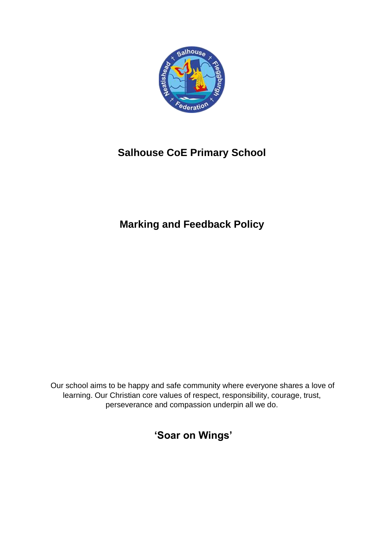

# **Salhouse CoE Primary School**

# **Marking and Feedback Policy**

Our school aims to be happy and safe community where everyone shares a love of learning. Our Christian core values of respect, responsibility, courage, trust, perseverance and compassion underpin all we do.

**'Soar on Wings'**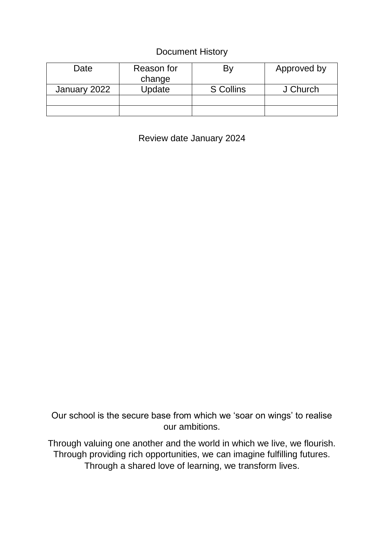# Document History

| Date         | Reason for<br>change |                  | Approved by |
|--------------|----------------------|------------------|-------------|
| January 2022 | Update               | <b>S</b> Collins | J Church    |
|              |                      |                  |             |
|              |                      |                  |             |

Review date January 2024

Our school is the secure base from which we 'soar on wings' to realise our ambitions.

Through valuing one another and the world in which we live, we flourish. Through providing rich opportunities, we can imagine fulfilling futures. Through a shared love of learning, we transform lives.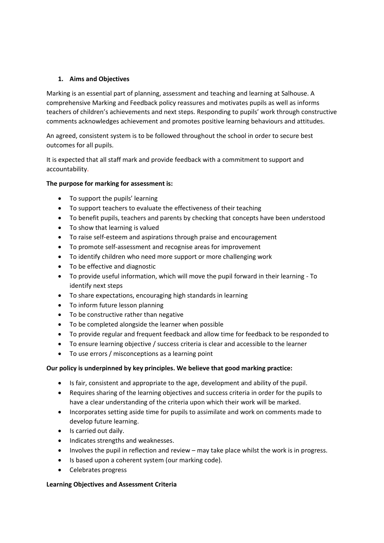## **1. Aims and Objectives**

Marking is an essential part of planning, assessment and teaching and learning at Salhouse. A comprehensive Marking and Feedback policy reassures and motivates pupils as well as informs teachers of children's achievements and next steps. Responding to pupils' work through constructive comments acknowledges achievement and promotes positive learning behaviours and attitudes.

An agreed, consistent system is to be followed throughout the school in order to secure best outcomes for all pupils.

It is expected that all staff mark and provide feedback with a commitment to support and accountability.

### **The purpose for marking for assessment is:**

- To support the pupils' learning
- To support teachers to evaluate the effectiveness of their teaching
- To benefit pupils, teachers and parents by checking that concepts have been understood
- To show that learning is valued
- To raise self-esteem and aspirations through praise and encouragement
- To promote self-assessment and recognise areas for improvement
- To identify children who need more support or more challenging work
- To be effective and diagnostic
- To provide useful information, which will move the pupil forward in their learning To identify next steps
- To share expectations, encouraging high standards in learning
- To inform future lesson planning
- To be constructive rather than negative
- To be completed alongside the learner when possible
- To provide regular and frequent feedback and allow time for feedback to be responded to
- To ensure learning objective / success criteria is clear and accessible to the learner
- To use errors / misconceptions as a learning point

#### **Our policy is underpinned by key principles. We believe that good marking practice:**

- Is fair, consistent and appropriate to the age, development and ability of the pupil.
- Requires sharing of the learning objectives and success criteria in order for the pupils to have a clear understanding of the criteria upon which their work will be marked.
- Incorporates setting aside time for pupils to assimilate and work on comments made to develop future learning.
- Is carried out daily.
- Indicates strengths and weaknesses.
- Involves the pupil in reflection and review may take place whilst the work is in progress.
- Is based upon a coherent system (our marking code).
- Celebrates progress

#### **Learning Objectives and Assessment Criteria**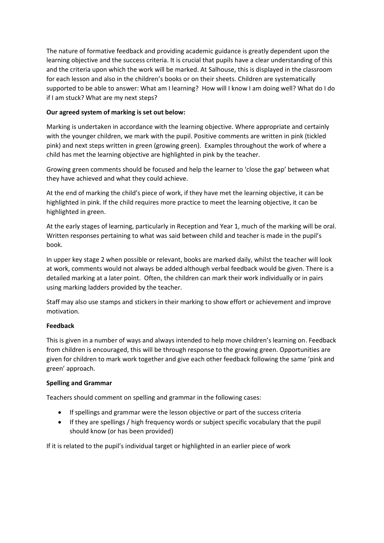The nature of formative feedback and providing academic guidance is greatly dependent upon the learning objective and the success criteria. It is crucial that pupils have a clear understanding of this and the criteria upon which the work will be marked. At Salhouse, this is displayed in the classroom for each lesson and also in the children's books or on their sheets. Children are systematically supported to be able to answer: What am I learning? How will I know I am doing well? What do I do if I am stuck? What are my next steps?

# **Our agreed system of marking is set out below:**

Marking is undertaken in accordance with the learning objective. Where appropriate and certainly with the younger children, we mark with the pupil. Positive comments are written in pink (tickled pink) and next steps written in green (growing green). Examples throughout the work of where a child has met the learning objective are highlighted in pink by the teacher.

Growing green comments should be focused and help the learner to 'close the gap' between what they have achieved and what they could achieve.

At the end of marking the child's piece of work, if they have met the learning objective, it can be highlighted in pink. If the child requires more practice to meet the learning objective, it can be highlighted in green.

At the early stages of learning, particularly in Reception and Year 1, much of the marking will be oral. Written responses pertaining to what was said between child and teacher is made in the pupil's book.

In upper key stage 2 when possible or relevant, books are marked daily, whilst the teacher will look at work, comments would not always be added although verbal feedback would be given. There is a detailed marking at a later point. Often, the children can mark their work individually or in pairs using marking ladders provided by the teacher.

Staff may also use stamps and stickers in their marking to show effort or achievement and improve motivation.

## **Feedback**

This is given in a number of ways and always intended to help move children's learning on. Feedback from children is encouraged, this will be through response to the growing green. Opportunities are given for children to mark work together and give each other feedback following the same 'pink and green' approach.

#### **Spelling and Grammar**

Teachers should comment on spelling and grammar in the following cases:

- If spellings and grammar were the lesson objective or part of the success criteria
- If they are spellings / high frequency words or subject specific vocabulary that the pupil should know (or has been provided)

If it is related to the pupil's individual target or highlighted in an earlier piece of work